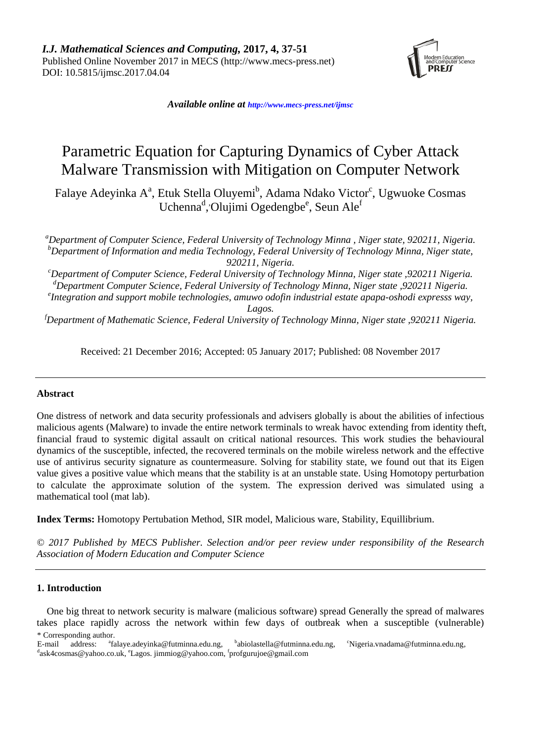

*Available online at [http://www.mecs-press.net/ijm](http://www.mecs-press.net/ijwmt)sc*

# Parametric Equation for Capturing Dynamics of Cyber Attack Malware Transmission with Mitigation on Computer Network

Falaye Adeyinka Aª, Etuk Stella Oluyemi<sup>b</sup>, Adama Ndako Victor<sup>c</sup>, Ugwuoke Cosmas Uchenna<sup>d</sup>, Olujimi Ogedengbe<sup>e</sup>, Seun Ale<sup>f</sup>

*<sup>a</sup>Department of Computer Science, Federal University of Technology Minna , Niger state, 920211, Nigeria. <sup>b</sup>Department of Information and media Technology, Federal University of Technology Minna, Niger state, 920211, Nigeria.*

*<sup>c</sup>Department of Computer Science, Federal University of Technology Minna, Niger state ,920211 Nigeria. <sup>d</sup>Department Computer Science, Federal University of Technology Minna, Niger state ,920211 Nigeria.*

*e Integration and support mobile technologies, amuwo odofin industrial estate apapa-oshodi expresss way, Lagos.*

*<sup>f</sup>Department of Mathematic Science, Federal University of Technology Minna, Niger state ,920211 Nigeria.*

Received: 21 December 2016; Accepted: 05 January 2017; Published: 08 November 2017

## **Abstract**

One distress of network and data security professionals and advisers globally is about the abilities of infectious malicious agents (Malware) to invade the entire network terminals to wreak havoc extending from identity theft, financial fraud to systemic digital assault on critical national resources. This work studies the behavioural dynamics of the susceptible, infected, the recovered terminals on the mobile wireless network and the effective use of antivirus security signature as countermeasure. Solving for stability state, we found out that its Eigen value gives a positive value which means that the stability is at an unstable state. Using Homotopy perturbation to calculate the approximate solution of the system. The expression derived was simulated using a mathematical tool (mat lab).

**Index Terms:** Homotopy Pertubation Method, SIR model, Malicious ware, Stability, Equillibrium.

*© 2017 Published by MECS Publisher. Selection and/or peer review under responsibility of the Research Association of Modern Education and Computer Science*

## **1. Introduction**

One big threat to network security is malware (malicious software) spread Generally the spread of malwares takes place rapidly across the network within few days of outbreak when a susceptible (vulnerable) \* Corresponding author.

E-mail address: [falaye.adeyinka@futminna.edu.ng,](mailto:falaye.adeyinka@futminna.edu.ng) <sup>b</sup>abiolastella@futminna.edu.ng, <sup>c</sup>[Nigeria.vnadama@futminna.edu.ng,](mailto:Nigeria.vnadama@futminna.edu.ng) <sup>d</sup>[ask4cosmas@yahoo.co.uk,](mailto:ask4cosmas@yahoo.co.uk) <sup>e</sup>Lagos[. jimmiog@yahoo.com,](mailto:jimmiog@yahoo.com) <sup>f</sup>profgurujoe@gmail.com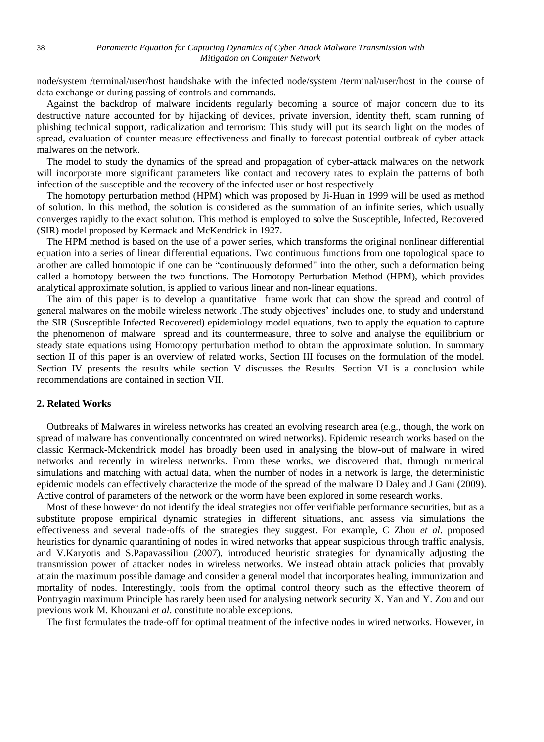node/system /terminal/user/host handshake with the infected node/system /terminal/user/host in the course of data exchange or during passing of controls and commands.

Against the backdrop of malware incidents regularly becoming a source of major concern due to its destructive nature accounted for by hijacking of devices, private inversion, identity theft, scam running of phishing technical support, radicalization and terrorism: This study will put its search light on the modes of spread, evaluation of counter measure effectiveness and finally to forecast potential outbreak of cyber-attack malwares on the network.

The model to study the dynamics of the spread and propagation of cyber-attack malwares on the network will incorporate more significant parameters like contact and recovery rates to explain the patterns of both infection of the susceptible and the recovery of the infected user or host respectively

The homotopy perturbation method (HPM) which was proposed by Ji-Huan in 1999 will be used as method of solution. In this method, the solution is considered as the summation of an infinite series, which usually converges rapidly to the exact solution. This method is employed to solve the Susceptible, Infected, Recovered (SIR) model proposed by Kermack and McKendrick in 1927.

The HPM method is based on the use of a power series, which transforms the original nonlinear differential equation into a series of linear differential equations. Two continuous functions from one topological space to another are called homotopic if one can be "continuously deformed" into the other, such a deformation being called a homotopy between the two functions. The Homotopy Perturbation Method (HPM), which provides analytical approximate solution, is applied to various linear and non-linear equations.

The aim of this paper is to develop a quantitative frame work that can show the spread and control of general malwares on the mobile wireless network .The study objectives' includes one, to study and understand the SIR (Susceptible Infected Recovered) epidemiology model equations, two to apply the equation to capture the phenomenon of malware spread and its countermeasure, three to solve and analyse the equilibrium or steady state equations using Homotopy perturbation method to obtain the approximate solution. In summary section II of this paper is an overview of related works, Section III focuses on the formulation of the model. Section IV presents the results while section V discusses the Results. Section VI is a conclusion while recommendations are contained in section VII.

## **2. Related Works**

Outbreaks of Malwares in wireless networks has created an evolving research area (e.g., though, the work on spread of malware has conventionally concentrated on wired networks). Epidemic research works based on the classic Kermack-Mckendrick model has broadly been used in analysing the blow-out of malware in wired networks and recently in wireless networks. From these works, we discovered that, through numerical simulations and matching with actual data, when the number of nodes in a network is large, the deterministic epidemic models can effectively characterize the mode of the spread of the malware D Daley and J Gani (2009). Active control of parameters of the network or the worm have been explored in some research works.

Most of these however do not identify the ideal strategies nor offer verifiable performance securities, but as a substitute propose empirical dynamic strategies in different situations, and assess via simulations the effectiveness and several trade-offs of the strategies they suggest. For example, C Zhou *et al*. proposed heuristics for dynamic quarantining of nodes in wired networks that appear suspicious through traffic analysis, and V.Karyotis and S.Papavassiliou (2007), introduced heuristic strategies for dynamically adjusting the transmission power of attacker nodes in wireless networks. We instead obtain attack policies that provably attain the maximum possible damage and consider a general model that incorporates healing, immunization and mortality of nodes. Interestingly, tools from the optimal control theory such as the effective theorem of Pontryagin maximum Principle has rarely been used for analysing network security X. Yan and Y. Zou and our previous work M. Khouzani *et al*. constitute notable exceptions.

The first formulates the trade-off for optimal treatment of the infective nodes in wired networks. However, in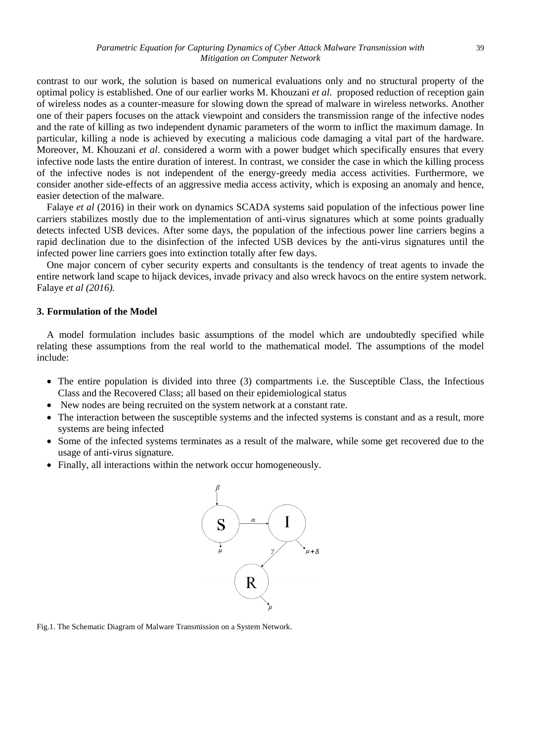contrast to our work, the solution is based on numerical evaluations only and no structural property of the optimal policy is established. One of our earlier works M. Khouzani *et al*. proposed reduction of reception gain of wireless nodes as a counter-measure for slowing down the spread of malware in wireless networks. Another one of their papers focuses on the attack viewpoint and considers the transmission range of the infective nodes and the rate of killing as two independent dynamic parameters of the worm to inflict the maximum damage. In particular, killing a node is achieved by executing a malicious code damaging a vital part of the hardware. Moreover, M. Khouzani *et al*. considered a worm with a power budget which specifically ensures that every infective node lasts the entire duration of interest. In contrast, we consider the case in which the killing process of the infective nodes is not independent of the energy-greedy media access activities. Furthermore, we consider another side-effects of an aggressive media access activity, which is exposing an anomaly and hence, easier detection of the malware.

Falaye *et al* (2016) in their work on dynamics SCADA systems said population of the infectious power line carriers stabilizes mostly due to the implementation of anti-virus signatures which at some points gradually detects infected USB devices. After some days, the population of the infectious power line carriers begins a rapid declination due to the disinfection of the infected USB devices by the anti-virus signatures until the infected power line carriers goes into extinction totally after few days.

One major concern of cyber security experts and consultants is the tendency of treat agents to invade the entire network land scape to hijack devices, invade privacy and also wreck havocs on the entire system network. Falaye *et al (2016).*

### **3. Formulation of the Model**

A model formulation includes basic assumptions of the model which are undoubtedly specified while relating these assumptions from the real world to the mathematical model. The assumptions of the model include:

- The entire population is divided into three (3) compartments i.e. the Susceptible Class, the Infectious Class and the Recovered Class; all based on their epidemiological status
- New nodes are being recruited on the system network at a constant rate.
- The interaction between the susceptible systems and the infected systems is constant and as a result, more systems are being infected
- Some of the infected systems terminates as a result of the malware, while some get recovered due to the usage of anti-virus signature.
- Finally, all interactions within the network occur homogeneously.



Fig.1. The Schematic Diagram of Malware Transmission on a System Network.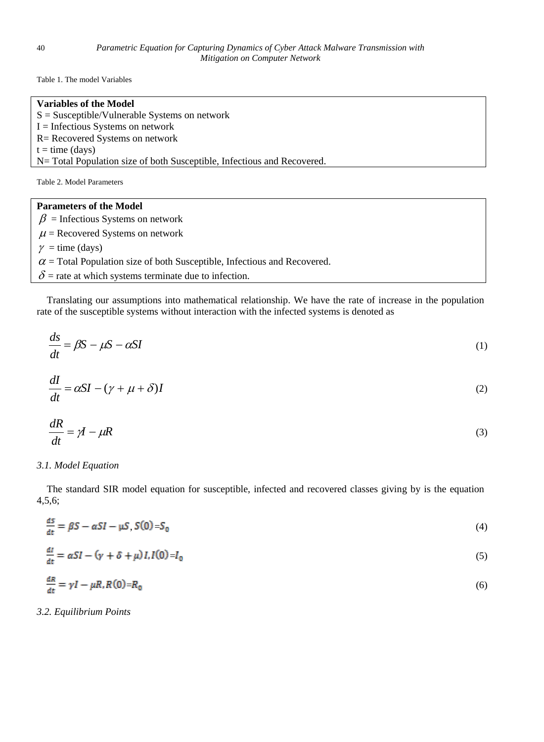Table 1. The model Variables

| <b>Variables of the Model</b>                                            |
|--------------------------------------------------------------------------|
| $S =$ Susceptible/Vulnerable Systems on network                          |
| $I =$ Infectious Systems on network                                      |
| R = Recovered Systems on network                                         |
| $t = time (days)$                                                        |
| N = Total Population size of both Susceptible, Infectious and Recovered. |
| Table 2. Model Parameters                                                |
| <b>Parameters of the Model</b>                                           |

 $\beta$  = Infectious Systems on network  $\mu$  = Recovered Systems on network  $\gamma$  = time (days)  $\alpha$  = Total Population size of both Susceptible, Infectious and Recovered.  $\delta$  = rate at which systems terminate due to infection.

Translating our assumptions into mathematical relationship. We have the rate of increase in the population rate of the susceptible systems without interaction with the infected systems is denoted as

$$
\frac{ds}{dt} = \beta S - \mu S - \alpha SI \tag{1}
$$

$$
\frac{dI}{dt} = \alpha SI - (\gamma + \mu + \delta)I
$$
\n(2)

$$
\frac{dR}{dt} = \gamma I - \mu R \tag{3}
$$

### *3.1. Model Equation*

The standard SIR model equation for susceptible, infected and recovered classes giving by is the equation 4,5,6;

$$
\frac{ds}{dt} = \beta S - \alpha SI - \mu S, S(0) = S_0 \tag{4}
$$

$$
\frac{dt}{dt} = \alpha SI - (\gamma + \delta + \mu)I I(0) = I_0 \tag{5}
$$

$$
\frac{dR}{dt} = \gamma I - \mu R R(0) = R_0 \tag{6}
$$

*3.2. Equilibrium Points*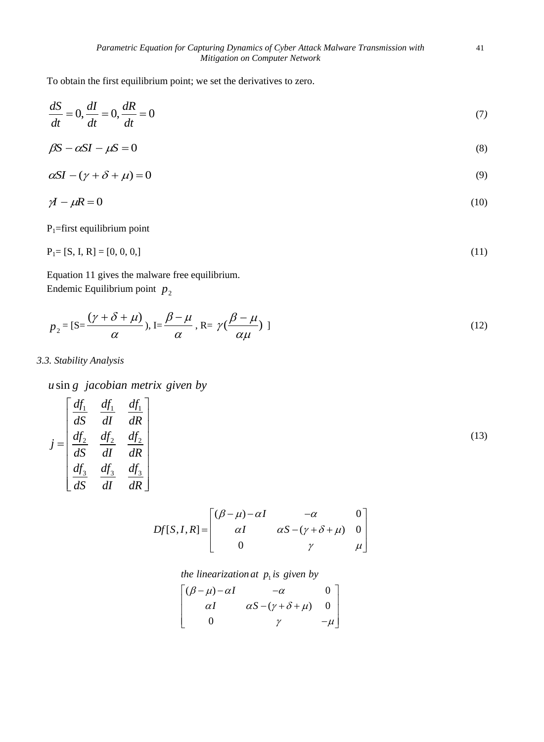To obtain the first equilibrium point; we set the derivatives to zero.

$$
\frac{dS}{dt} = 0, \frac{dI}{dt} = 0, \frac{dR}{dt} = 0
$$
\n<sup>(7)</sup>

$$
\beta S - \alpha SI - \mu S = 0 \tag{8}
$$

$$
\alpha SI - (\gamma + \delta + \mu) = 0 \tag{9}
$$

$$
\gamma I - \mu R = 0 \tag{10}
$$

 $P_1$ =first equilibrium point

$$
P_1 = [S, I, R] = [0, 0, 0, 0]
$$
\n<sup>(11)</sup>

Equation 11 gives the malware free equilibrium. Endemic Equilibrium point  $p_2$ 

$$
p_2 = [S = \frac{(\gamma + \delta + \mu)}{\alpha}), I = \frac{\beta - \mu}{\alpha}, R = \gamma(\frac{\beta - \mu}{\alpha \mu})]
$$
(12)

*3.3. Stability Analysis*

*u* sin g *jacobian metrix given by* 

$$
j = \begin{bmatrix} \frac{df_1}{dS} & \frac{df_1}{dI} & \frac{df_1}{dR} \\ \frac{df_2}{dS} & \frac{df_2}{dI} & \frac{df_2}{dR} \\ \frac{df_3}{dS} & \frac{df_3}{dI} & \frac{df_3}{dR} \end{bmatrix}
$$
(13)

$$
Df[S, I, R] = \begin{bmatrix} (\beta - \mu) - \alpha I & -\alpha & 0 \\ \alpha I & \alpha S - (\gamma + \delta + \mu) & 0 \\ 0 & \gamma & \mu \end{bmatrix}
$$

*the linearization at p is given by*

the linearization at 
$$
p_1
$$
 is given by  
\n
$$
\begin{bmatrix}\n(\beta - \mu) - \alpha I & -\alpha & 0 \\
\alpha I & \alpha S - (\gamma + \delta + \mu) & 0 \\
0 & \gamma & -\mu\n\end{bmatrix}
$$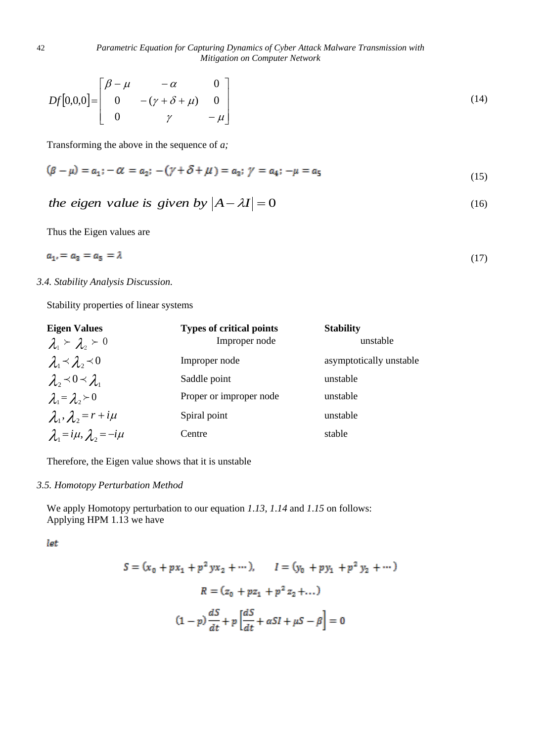$$
Df[0,0,0] = \begin{bmatrix} \beta - \mu & -\alpha & 0 \\ 0 & -(\gamma + \delta + \mu) & 0 \\ 0 & \gamma & -\mu \end{bmatrix}
$$
 (14)

Transforming the above in the sequence of *a;*

$$
(\beta - \mu) = a_1; -\alpha = a_2; -(\gamma + \delta + \mu) = a_3; \ \gamma = a_4; -\mu = a_5 \tag{15}
$$

# *the eigen value is given by*  $|A - \lambda I| = 0$  (16)

Thus the Eigen values are

$$
a_{1'} = a_3 = a_5 = \lambda \tag{17}
$$

## *3.4. Stability Analysis Discussion.*

Stability properties of linear systems

| <b>Eigen Values</b>                     | <b>Types of critical points</b> | <b>Stability</b>        |
|-----------------------------------------|---------------------------------|-------------------------|
| $\lambda_1 \succeq \lambda_2 \succeq 0$ | Improper node                   | unstable                |
| $\lambda_1 \prec \lambda_2 \prec 0$     | Improper node                   | asymptotically unstable |
| $\lambda_2 \prec 0 \prec \lambda_1$     | Saddle point                    | unstable                |
| $\lambda_1 = \lambda_2 \succ 0$         | Proper or improper node         | unstable                |
| $\lambda_1, \lambda_2 = r + i\mu$       | Spiral point                    | unstable                |
| $\lambda_1 = i\mu, \lambda_2 = -i\mu$   | Centre                          | stable                  |

Therefore, the Eigen value shows that it is unstable

## *3.5. Homotopy Perturbation Method*

We apply Homotopy perturbation to our equation *1*.*13*, *1*.*14* and *1*.*15* on follows: Applying HPM 1.13 we have

let

$$
S = (x_0 + px_1 + p^2 yx_2 + \cdots), \qquad I = (y_0 + py_1 + p^2 y_2 + \cdots)
$$
  

$$
R = (z_0 + pz_1 + p^2 z_2 + \cdots)
$$
  

$$
(1 - p)\frac{dS}{dt} + p\left[\frac{dS}{dt} + \alpha SI + \mu S - \beta\right] = 0
$$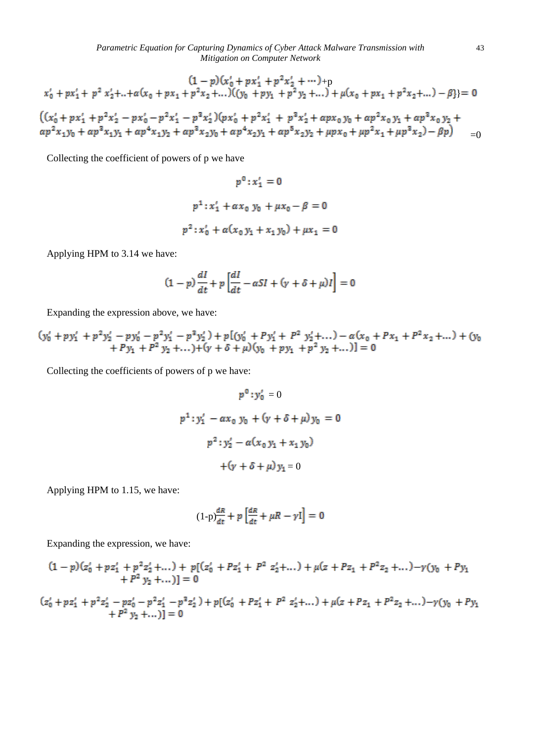*Parametric Equation for Capturing Dynamics of Cyber Attack Malware Transmission with* 43 *Mitigation on Computer Network*

$$
(1-p)(x'_{0}+px'_{1}+p^{2}x'_{2}+\cdots)+p
$$
  
\n
$$
x'_{0}+px'_{1}+p^{2}x'_{2}+\cdots+a(x_{0}+px_{1}+p^{2}x_{2}+\cdots)(y_{0}+py_{1}+p^{2}y_{2}+\cdots)+\mu(x_{0}+px_{1}+p^{2}x_{2}+\cdots)-\beta\}=0
$$
  
\n
$$
((x'_{0}+px'_{1}+p^{2}x'_{2}-px'_{0}-p^{2}x'_{1}-p^{3}x'_{2})(px'_{0}+p^{2}x'_{1}+p^{3}x'_{2}+apx_{0}y_{0}+ap^{2}x_{0}y_{1}+ap^{3}x_{0}y_{2}+ap^{2}x_{1}y_{0}+ap^{2}x_{1}y_{1}+ap^{3}x_{1}y_{1}+ap^{4}x_{1}y_{2}+ap^{3}x_{2}y_{0}+ap^{4}x_{2}y_{1}+ap^{5}x_{2}y_{2}+apx_{0}+ap^{2}x_{1}+ap^{3}x_{2})-\beta p) = 0
$$

Collecting the coefficient of powers of p we have

$$
p^{0}: x'_{1} = 0
$$
  

$$
p^{1}: x'_{1} + \alpha x_{0} y_{0} + \mu x_{0} - \beta = 0
$$
  

$$
p^{2}: x'_{0} + \alpha(x_{0} y_{1} + x_{1} y_{0}) + \mu x_{1} = 0
$$

Applying HPM to 3.14 we have:

$$
(1-p)\frac{dI}{dt} + p\left[\frac{dI}{dt} - \alpha SI + (\gamma + \delta + \mu)I\right] = 0
$$

Expanding the expression above, we have:

$$
(y'_{0} + py'_{1} + p^{2}y'_{2} - py'_{0} - p^{2}y'_{1} - p^{3}y'_{2}) + p[(y'_{0} + Py'_{1} + P^{2} y'_{2} + ... ) - \alpha(x_{0} + Px_{1} + P^{2}x_{2} + ... ) + (y_{0} + Py_{1} + P^{2}y_{2} + ... ) + (y + \delta + \mu)(y_{0} + py_{1} + p^{2}y_{2} + ...)] = 0
$$

Collecting the coefficients of powers of p we have:

$$
p^{0}: y'_{0} = 0
$$
  

$$
p^{1}: y'_{1} - \alpha x_{0} y_{0} + (y + \delta + \mu) y_{0} = 0
$$
  

$$
p^{2}: y'_{2} - \alpha (x_{0} y_{1} + x_{1} y_{0})
$$
  

$$
+ (y + \delta + \mu) y_{1} = 0
$$

Applying HPM to 1.15, we have:

$$
(1-p)\frac{dR}{dt} + p\left[\frac{dR}{dt} + \mu R - \gamma I\right] = 0
$$

Expanding the expression, we have:

$$
(1-p)(z'_0+pz'_1+p^2z'_2+...)+p[(z'_0+Pz'_1+P^2z'_2+...)+\mu(z+Pz_1+P^2z_2+...)-\gamma(y_0+Py_1+P^2y_2+...)] = 0
$$

$$
(z'_{0} + pz'_{1} + p^{2}z'_{2} - pz'_{0} - p^{2}z'_{1} - p^{2}z'_{2}) + p[(z'_{0} + Px'_{1} + P^{2} z'_{2} + ... ) + \mu(z + Px_{1} + P^{2}z_{2} + ... ) - \gamma(y_{0} + Py_{1} + P^{2} y_{2} + ... )] = 0
$$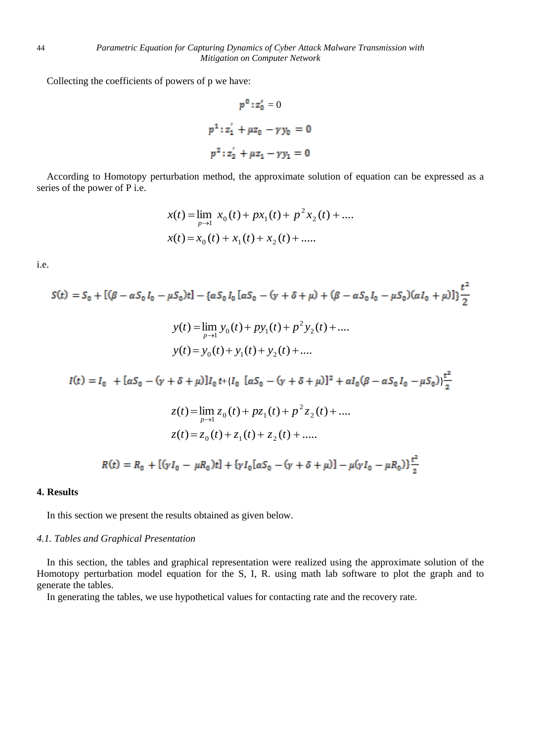Collecting the coefficients of powers of p we have:

$$
p^{0}: z'_{0} = 0
$$
  

$$
p^{1}: z'_{1} + \mu z_{0} - \gamma y_{0} = 0
$$
  

$$
p^{2}: z'_{2} + \mu z_{1} - \gamma y_{1} = 0
$$

According to Homotopy perturbation method, the approximate solution of equation can be expressed as a series of the power of P i.e.

$$
x(t) = \lim_{p \to 1} x_0(t) + px_1(t) + p^2 x_2(t) + \dots
$$
  

$$
x(t) = x_0(t) + x_1(t) + x_2(t) + \dots
$$

 $\overline{1}$ 

i.e.

$$
S(t) = S_0 + [(\beta - \alpha S_0 I_0 - \mu S_0)t] - {\alpha S_0 I_0 [\alpha S_0 - (\gamma + \delta + \mu) + (\beta - \alpha S_0 I_0 - \mu S_0)(\alpha I_0 + \mu)] } \frac{t^2}{2}
$$
  

$$
y(t) = \lim_{p \to 1} y_0(t) + py_1(t) + p^2 y_2(t) + ....
$$
  

$$
y(t) = y_0(t) + y_1(t) + y_2(t) + ....
$$
  

$$
I(t) = I_0 + [\alpha S_0 - (\gamma + \delta + \mu)]I_0 t + \{I_0 [\alpha S_0 - (\gamma + \delta + \mu)]^2 + \alpha I_0 (\beta - \alpha S_0 I_0 - \mu S_0) ] \frac{t^2}{2}
$$
  

$$
z(t) = \lim_{p \to 1} z_0(t) + pz_1(t) + p^2 z_2(t) + ....
$$
  

$$
z(t) = z_0(t) + z_1(t) + z_2(t) + ....
$$
  

$$
R(t) = R_0 + [(\gamma I_0 - \mu R_0)t] + {\gamma I_0 [\alpha S_0 - (\gamma + \delta + \mu)] - \mu (\gamma I_0 - \mu R_0) } \frac{t^2}{2}
$$

## **4. Results**

In this section we present the results obtained as given below.

#### *4.1. Tables and Graphical Presentation*

In this section, the tables and graphical representation were realized using the approximate solution of the Homotopy perturbation model equation for the S, I, R. using math lab software to plot the graph and to generate the tables.

In generating the tables, we use hypothetical values for contacting rate and the recovery rate.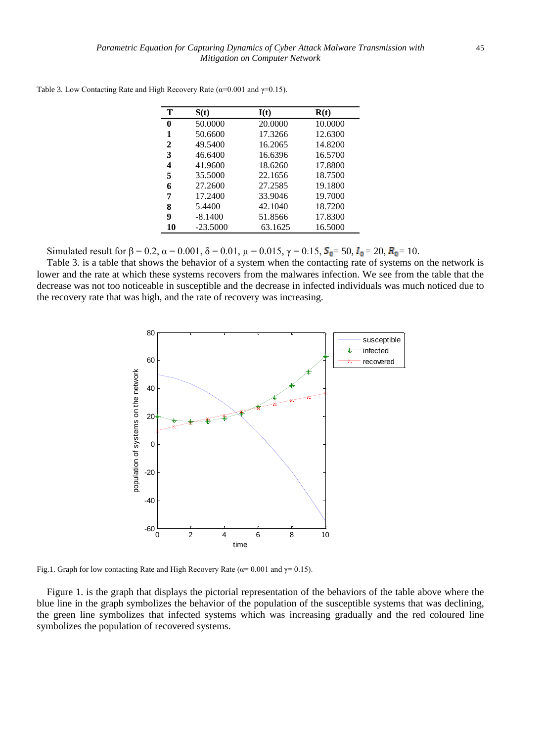| т            | S(t)       | I(t)    | R(t)    |
|--------------|------------|---------|---------|
| 0            | 50.0000    | 20,0000 | 10.0000 |
| 1            | 50.6600    | 17.3266 | 12.6300 |
| $\mathbf{2}$ | 49.5400    | 16.2065 | 14.8200 |
| 3            | 46.6400    | 16.6396 | 16.5700 |
| 4            | 41.9600    | 18.6260 | 17.8800 |
| 5            | 35.5000    | 22.1656 | 18.7500 |
| 6            | 27.2600    | 27.2585 | 19.1800 |
| 7            | 17.2400    | 33.9046 | 19.7000 |
| 8            | 5.4400     | 42.1040 | 18.7200 |
| 9            | $-8.1400$  | 51.8566 | 17.8300 |
| 10           | $-23.5000$ | 63.1625 | 16.5000 |
|              |            |         |         |

Table 3. Low Contacting Rate and High Recovery Rate ( $\alpha$ =0.001 and  $\gamma$ =0.15).

Simulated result for  $\beta = 0.2$ ,  $\alpha = 0.001$ ,  $\delta = 0.01$ ,  $\mu = 0.015$ ,  $\gamma = 0.15$ ,  $S_0 = 50$ ,  $I_0 = 20$ ,  $R_0 = 10$ .

Table 3. is a table that shows the behavior of a system when the contacting rate of systems on the network is lower and the rate at which these systems recovers from the malwares infection. We see from the table that the decrease was not too noticeable in susceptible and the decrease in infected individuals was much noticed due to the recovery rate that was high, and the rate of recovery was increasing.



Fig.1. Graph for low contacting Rate and High Recovery Rate ( $\alpha$ = 0.001 and  $\gamma$ = 0.15).

Figure 1. is the graph that displays the pictorial representation of the behaviors of the table above where the blue line in the graph symbolizes the behavior of the population of the susceptible systems that was declining, the green line symbolizes that infected systems which was increasing gradually and the red coloured line symbolizes the population of recovered systems.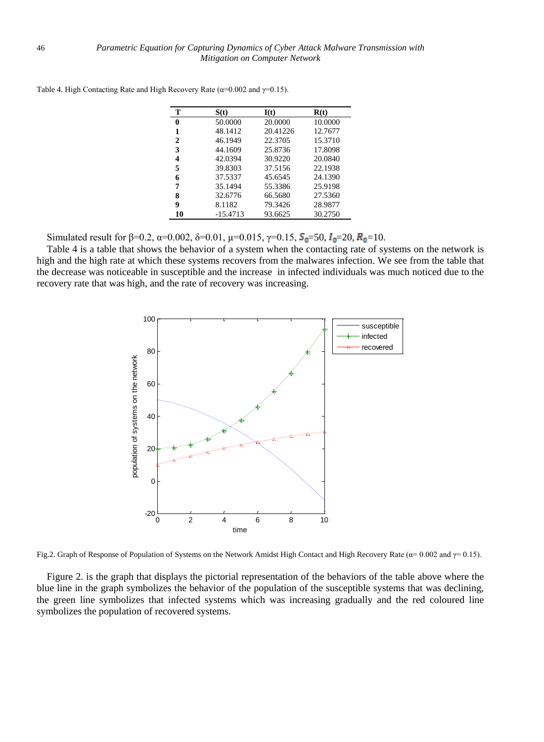| т        | S(t)       | I(t)     | R(t)    |
|----------|------------|----------|---------|
| $\bf{0}$ | 50.0000    | 20.0000  | 10.0000 |
| 1        | 48.1412    | 20.41226 | 12.7677 |
| 2        | 46.1949    | 22.3705  | 15.3710 |
| 3        | 44.1609    | 25.8736  | 17.8098 |
| 4        | 42.0394    | 30.9220  | 20.0840 |
| 5        | 39.8303    | 37.5156  | 22.1938 |
| 6        | 37.5337    | 45.6545  | 24.1390 |
| 7        | 35.1494    | 55.3386  | 25.9198 |
| 8        | 32.6776    | 66.5680  | 27.5360 |
| 9        | 8.1182     | 79.3426  | 28.9877 |
| 10       | $-15.4713$ | 93.6625  | 30.2750 |

Table 4. High Contacting Rate and High Recovery Rate ( $\alpha$ =0.002 and  $\gamma$ =0.15).

Simulated result for  $\beta = 0.2$ ,  $\alpha = 0.002$ ,  $\delta = 0.01$ ,  $\mu = 0.015$ ,  $\gamma = 0.15$ ,  $S_0 = 50$ ,  $I_0 = 20$ ,  $R_0 = 10$ .

Table 4 is a table that shows the behavior of a system when the contacting rate of systems on the network is high and the high rate at which these systems recovers from the malwares infection. We see from the table that the decrease was noticeable in susceptible and the increase in infected individuals was much noticed due to the recovery rate that was high, and the rate of recovery was increasing.



Fig.2. Graph of Response of Population of Systems on the Network Amidst High Contact and High Recovery Rate ( $\alpha$ = 0.002 and  $\gamma$ = 0.15).

Figure 2. is the graph that displays the pictorial representation of the behaviors of the table above where the blue line in the graph symbolizes the behavior of the population of the susceptible systems that was declining, the green line symbolizes that infected systems which was increasing gradually and the red coloured line symbolizes the population of recovered systems.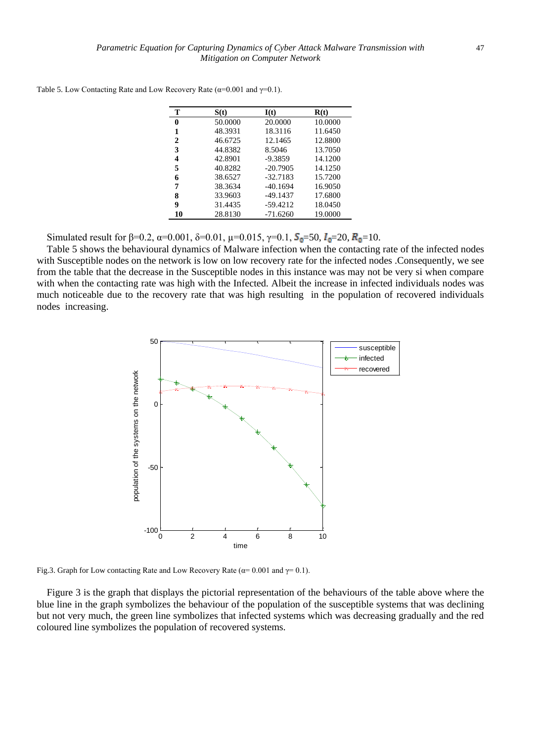| т            | S(t)    | I(t)       | R(t)    |
|--------------|---------|------------|---------|
| 0            | 50.0000 | 20.0000    | 10.0000 |
| 1            | 48.3931 | 18.3116    | 11.6450 |
| $\mathbf{2}$ | 46.6725 | 12.1465    | 12.8800 |
| 3            | 44.8382 | 8.5046     | 13.7050 |
| 4            | 42.8901 | $-9.3859$  | 14.1200 |
| 5            | 40.8282 | $-20.7905$ | 14.1250 |
| 6            | 38.6527 | $-32.7183$ | 15.7200 |
| 7            | 38.3634 | $-40.1694$ | 16.9050 |
| 8            | 33.9603 | $-49.1437$ | 17.6800 |
| 9            | 31.4435 | $-59.4212$ | 18.0450 |
| 10           | 28.8130 | $-71.6260$ | 19.0000 |

Table 5. Low Contacting Rate and Low Recovery Rate ( $\alpha$ =0.001 and  $\gamma$ =0.1).

Simulated result for  $\beta = 0.2$ ,  $\alpha = 0.001$ ,  $\delta = 0.01$ ,  $\mu = 0.015$ ,  $\gamma = 0.1$ ,  $S_0 = 50$ ,  $I_0 = 20$ ,  $R_0 = 10$ .

Table 5 shows the behavioural dynamics of Malware infection when the contacting rate of the infected nodes with Susceptible nodes on the network is low on low recovery rate for the infected nodes .Consequently, we see from the table that the decrease in the Susceptible nodes in this instance was may not be very si when compare with when the contacting rate was high with the Infected. Albeit the increase in infected individuals nodes was much noticeable due to the recovery rate that was high resulting in the population of recovered individuals nodes increasing.



Fig.3. Graph for Low contacting Rate and Low Recovery Rate ( $\alpha$ = 0.001 and  $\gamma$ = 0.1).

Figure 3 is the graph that displays the pictorial representation of the behaviours of the table above where the blue line in the graph symbolizes the behaviour of the population of the susceptible systems that was declining but not very much, the green line symbolizes that infected systems which was decreasing gradually and the red coloured line symbolizes the population of recovered systems.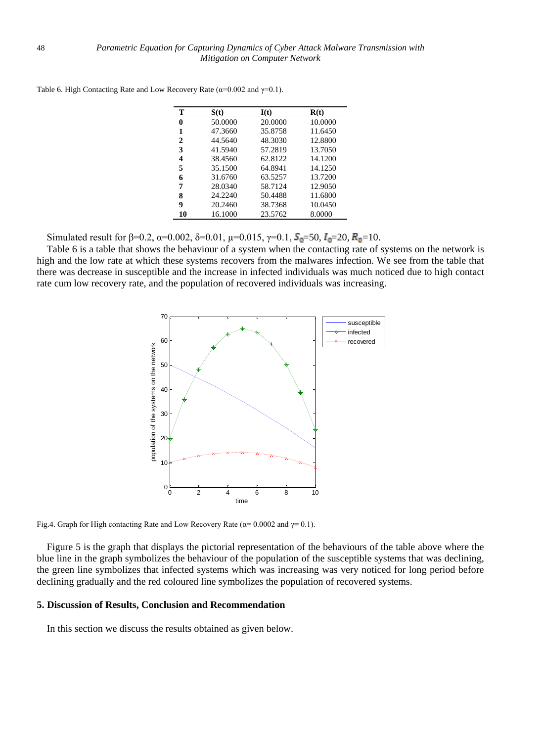| т            | S(t)    | I(t)    | R(t)    |
|--------------|---------|---------|---------|
| 0            | 50.0000 | 20.0000 | 10.0000 |
| 1            | 47.3660 | 35.8758 | 11.6450 |
| $\mathbf{2}$ | 44.5640 | 48.3030 | 12.8800 |
| 3            | 41.5940 | 57.2819 | 13.7050 |
| 4            | 38.4560 | 62.8122 | 14.1200 |
| 5            | 35.1500 | 64.8941 | 14.1250 |
| 6            | 31.6760 | 63.5257 | 13.7200 |
| 7            | 28.0340 | 58.7124 | 12.9050 |
| 8            | 24.2240 | 50.4488 | 11.6800 |
| 9            | 20.2460 | 38.7368 | 10.0450 |
| 10           | 16.1000 | 23.5762 | 8.0000  |

Table 6. High Contacting Rate and Low Recovery Rate ( $\alpha$ =0.002 and  $\gamma$ =0.1).

Simulated result for β=0.2, α=0.002, δ=0.01, μ=0.015, γ=0.1,  $S_0$ =50,  $I_0$ =20,  $R_0$ =10.

Table 6 is a table that shows the behaviour of a system when the contacting rate of systems on the network is high and the low rate at which these systems recovers from the malwares infection. We see from the table that there was decrease in susceptible and the increase in infected individuals was much noticed due to high contact rate cum low recovery rate, and the population of recovered individuals was increasing.



Fig.4. Graph for High contacting Rate and Low Recovery Rate ( $\alpha$ = 0.0002 and  $\gamma$ = 0.1).

Figure 5 is the graph that displays the pictorial representation of the behaviours of the table above where the blue line in the graph symbolizes the behaviour of the population of the susceptible systems that was declining, the green line symbolizes that infected systems which was increasing was very noticed for long period before declining gradually and the red coloured line symbolizes the population of recovered systems.

#### **5. Discussion of Results, Conclusion and Recommendation**

In this section we discuss the results obtained as given below.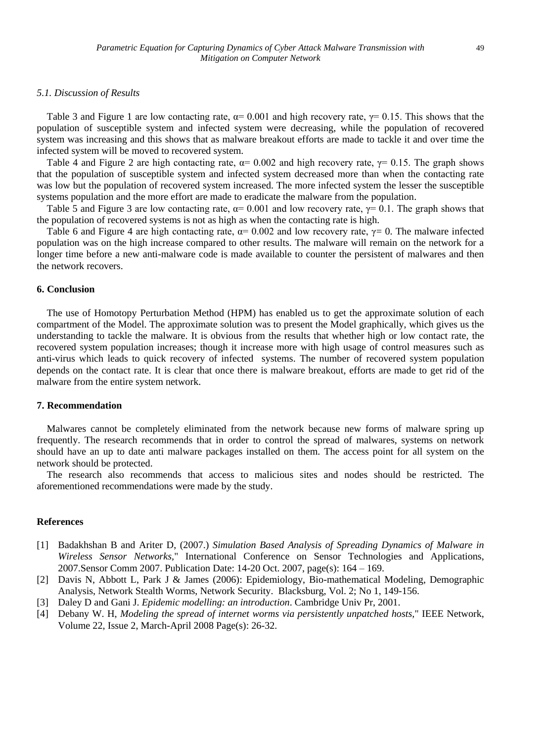#### *5.1. Discussion of Results*

Table 3 and Figure 1 are low contacting rate,  $\alpha$  = 0.001 and high recovery rate,  $\gamma$  = 0.15. This shows that the population of susceptible system and infected system were decreasing, while the population of recovered system was increasing and this shows that as malware breakout efforts are made to tackle it and over time the infected system will be moved to recovered system.

Table 4 and Figure 2 are high contacting rate,  $\alpha = 0.002$  and high recovery rate,  $\gamma = 0.15$ . The graph shows that the population of susceptible system and infected system decreased more than when the contacting rate was low but the population of recovered system increased. The more infected system the lesser the susceptible systems population and the more effort are made to eradicate the malware from the population.

Table 5 and Figure 3 are low contacting rate,  $\alpha$  = 0.001 and low recovery rate,  $\gamma$  = 0.1. The graph shows that the population of recovered systems is not as high as when the contacting rate is high.

Table 6 and Figure 4 are high contacting rate,  $\alpha$ = 0.002 and low recovery rate,  $\gamma$ = 0. The malware infected population was on the high increase compared to other results. The malware will remain on the network for a longer time before a new anti-malware code is made available to counter the persistent of malwares and then the network recovers.

#### **6. Conclusion**

The use of Homotopy Perturbation Method (HPM) has enabled us to get the approximate solution of each compartment of the Model. The approximate solution was to present the Model graphically, which gives us the understanding to tackle the malware. It is obvious from the results that whether high or low contact rate, the recovered system population increases; though it increase more with high usage of control measures such as anti-virus which leads to quick recovery of infected systems. The number of recovered system population depends on the contact rate. It is clear that once there is malware breakout, efforts are made to get rid of the malware from the entire system network.

#### **7. Recommendation**

Malwares cannot be completely eliminated from the network because new forms of malware spring up frequently. The research recommends that in order to control the spread of malwares, systems on network should have an up to date anti malware packages installed on them. The access point for all system on the network should be protected.

The research also recommends that access to malicious sites and nodes should be restricted. The aforementioned recommendations were made by the study.

#### **References**

- [1] Badakhshan B and Ariter D, (2007.) *Simulation Based Analysis of Spreading Dynamics of Malware in Wireless Sensor Networks,*" International Conference on Sensor Technologies and Applications, 2007.Sensor Comm 2007. Publication Date: 14-20 Oct. 2007, page(s): 164 – 169.
- [2] Davis N, Abbott L, Park J & James (2006): Epidemiology, Bio-mathematical Modeling, Demographic Analysis, Network Stealth Worms, Network Security. Blacksburg, Vol. 2; No 1, 149-156.
- [3] Daley D and Gani J. *Epidemic modelling: an introduction*. Cambridge Univ Pr, 2001.
- [4] Debany W. H, *Modeling the spread of internet worms via persistently unpatched hosts,*" IEEE Network, Volume 22, Issue 2, March-April 2008 Page(s): 26-32.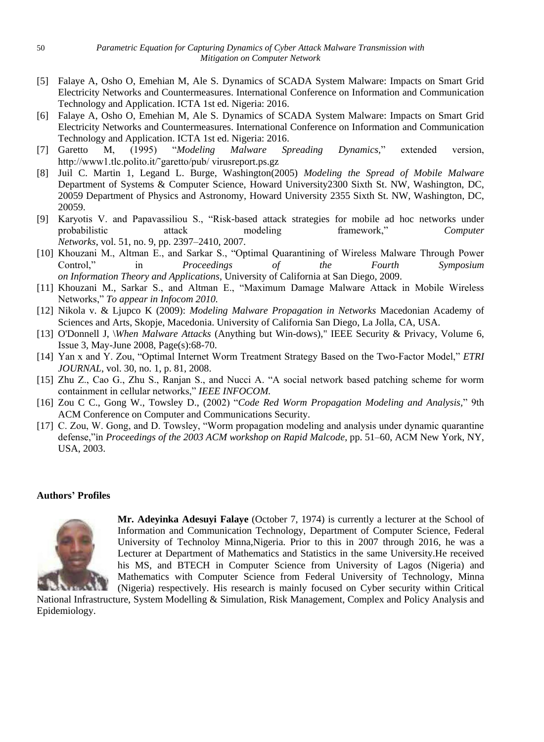- [5] Falaye A, Osho O, Emehian M, Ale S. Dynamics of SCADA System Malware: Impacts on Smart Grid Electricity Networks and Countermeasures. International Conference on Information and Communication Technology and Application. ICTA 1st ed. Nigeria: 2016.
- [6] Falaye A, Osho O, Emehian M, Ale S. Dynamics of SCADA System Malware: Impacts on Smart Grid Electricity Networks and Countermeasures. International Conference on Information and Communication Technology and Application. ICTA 1st ed. Nigeria: 2016.
- [7] Garetto M, (1995) "*Modeling Malware Spreading Dynamics,*" extended version, http://www1.tlc.polito.it/˜garetto/pub/ virusreport.ps.gz
- [8] Juil C. Martin 1, Legand L. Burge, Washington(2005) *Modeling the Spread of Mobile Malware*  Department of Systems & Computer Science, Howard University2300 Sixth St. NW, Washington, DC, 20059 Department of Physics and Astronomy, Howard University 2355 Sixth St. NW, Washington, DC, 20059.
- [9] Karyotis V. and Papavassiliou S., "Risk-based attack strategies for mobile ad hoc networks under probabilistic attack modeling framework," *Computer Networks*, vol. 51, no. 9, pp. 2397–2410, 2007.
- [10] Khouzani M., Altman E., and Sarkar S., "Optimal Quarantining of Wireless Malware Through Power Control," in *Proceedings of the Fourth Symposium on Information Theory and Applications*, University of California at San Diego, 2009.
- [11] Khouzani M., Sarkar S., and Altman E., "Maximum Damage Malware Attack in Mobile Wireless Networks," *To appear in Infocom 2010.*
- [12] Nikola v. & Ljupco K (2009): *Modeling Malware Propagation in Networks* Macedonian Academy of Sciences and Arts, Skopje, Macedonia. University of California San Diego, La Jolla, CA, USA.
- [13] O'Donnell J, \*When Malware Attacks* (Anything but Win-dows)," IEEE Security & Privacy, Volume 6, Issue 3, May-June 2008, Page(s):68-70.
- [14] Yan x and Y. Zou, "Optimal Internet Worm Treatment Strategy Based on the Two-Factor Model," *ETRI JOURNAL*, vol. 30, no. 1, p. 81, 2008.
- [15] Zhu Z., Cao G., Zhu S., Ranjan S., and Nucci A. "A social network based patching scheme for worm containment in cellular networks," *IEEE INFOCOM.*
- [16] Zou C C., Gong W., Towsley D., (2002) "*Code Red Worm Propagation Modeling and Analysis,*" 9th ACM Conference on Computer and Communications Security.
- [17] C. Zou, W. Gong, and D. Towsley, "Worm propagation modeling and analysis under dynamic quarantine defense,"in *Proceedings of the 2003 ACM workshop on Rapid Malcode*, pp. 51–60, ACM New York, NY, USA, 2003.

### **Authors' Profiles**



**Mr. Adeyinka Adesuyi Falaye** (October 7, 1974) is currently a lecturer at the School of Information and Communication Technology, Department of Computer Science, Federal University of Technoloy Minna,Nigeria. Prior to this in 2007 through 2016, he was a Lecturer at Department of Mathematics and Statistics in the same University.He received his MS, and BTECH in Computer Science from University of Lagos (Nigeria) and Mathematics with Computer Science from Federal University of Technology, Minna (Nigeria) respectively. His research is mainly focused on Cyber security within Critical

National Infrastructure, System Modelling & Simulation, Risk Management, Complex and Policy Analysis and Epidemiology.